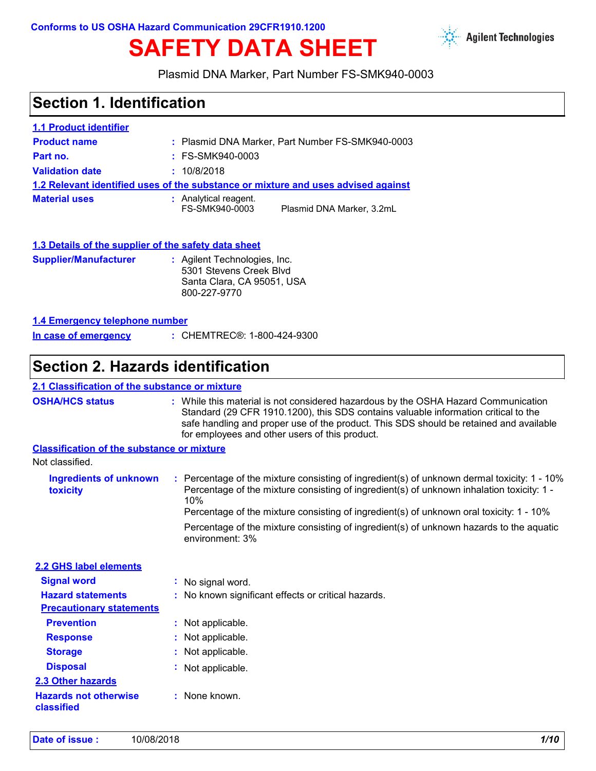# **SAFETY DATA SHEET**



Plasmid DNA Marker, Part Number FS-SMK940-0003

# **Section 1. Identification**

| <b>1.1 Product identifier</b>                                                     |                                         |                                                  |
|-----------------------------------------------------------------------------------|-----------------------------------------|--------------------------------------------------|
| <b>Product name</b>                                                               |                                         | : Plasmid DNA Marker, Part Number FS-SMK940-0003 |
| Part no.                                                                          | $:$ FS-SMK940-0003                      |                                                  |
| <b>Validation date</b>                                                            | : 10/8/2018                             |                                                  |
| 1.2 Relevant identified uses of the substance or mixture and uses advised against |                                         |                                                  |
| <b>Material uses</b>                                                              | : Analytical reagent.<br>FS-SMK940-0003 | Plasmid DNA Marker, 3.2mL                        |

|--|

| <b>Supplier/Manufacturer</b> | : Agilent Technologies, Inc.<br>5301 Stevens Creek Blyd<br>Santa Clara, CA 95051, USA<br>800-227-9770 |
|------------------------------|-------------------------------------------------------------------------------------------------------|
|                              |                                                                                                       |

#### **1.4 Emergency telephone number**

| In case of emergency | : CHEMTREC®: 1-800-424-9300 |
|----------------------|-----------------------------|
|                      |                             |

### **Section 2. Hazards identification**

### **2.1 Classification of the substance or mixture**

| <b>OSHA/HCS status</b> | While this material is not considered hazardous by the OSHA Hazard Communication<br>Standard (29 CFR 1910.1200), this SDS contains valuable information critical to the |
|------------------------|-------------------------------------------------------------------------------------------------------------------------------------------------------------------------|
|                        | safe handling and proper use of the product. This SDS should be retained and available<br>for employees and other users of this product.                                |
|                        |                                                                                                                                                                         |

#### **Classification of the substance or mixture**

| Ingredients of unknown<br>toxicity | Percentage of the mixture consisting of ingredient(s) of unknown dermal toxicity: 1 - 10%<br>Percentage of the mixture consisting of ingredient(s) of unknown inhalation toxicity: 1 -<br>10%<br>Percentage of the mixture consisting of ingredient(s) of unknown oral toxicity: 1 - 10% |
|------------------------------------|------------------------------------------------------------------------------------------------------------------------------------------------------------------------------------------------------------------------------------------------------------------------------------------|
|                                    | Percentage of the mixture consisting of ingredient(s) of unknown hazards to the aquatic<br>environment: 3%                                                                                                                                                                               |

| 2.2 GHS label elements                     |                                                     |
|--------------------------------------------|-----------------------------------------------------|
| <b>Signal word</b>                         | : No signal word.                                   |
| <b>Hazard statements</b>                   | : No known significant effects or critical hazards. |
| <b>Precautionary statements</b>            |                                                     |
| <b>Prevention</b>                          | : Not applicable.                                   |
| <b>Response</b>                            | : Not applicable.                                   |
| <b>Storage</b>                             | : Not applicable.                                   |
| <b>Disposal</b>                            | : Not applicable.                                   |
| <b>2.3 Other hazards</b>                   |                                                     |
| <b>Hazards not otherwise</b><br>classified | : None known.                                       |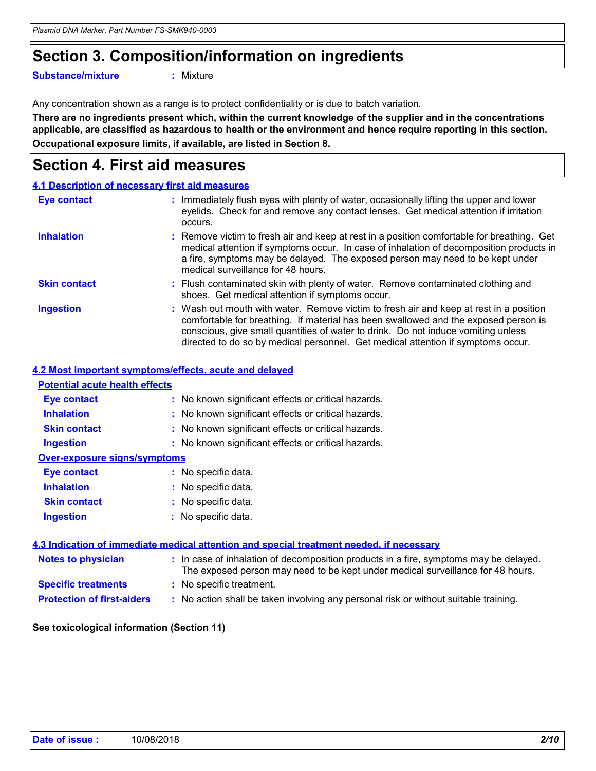# **Section 3. Composition/information on ingredients**

**Substance/mixture :**

```
: Mixture
```
Any concentration shown as a range is to protect confidentiality or is due to batch variation.

**Occupational exposure limits, if available, are listed in Section 8. There are no ingredients present which, within the current knowledge of the supplier and in the concentrations applicable, are classified as hazardous to health or the environment and hence require reporting in this section.**

# **Section 4. First aid measures**

|                     | 4.1 Description of necessary first aid measures                                                                                                                                                                                                                                                                                                        |
|---------------------|--------------------------------------------------------------------------------------------------------------------------------------------------------------------------------------------------------------------------------------------------------------------------------------------------------------------------------------------------------|
| <b>Eye contact</b>  | : Immediately flush eyes with plenty of water, occasionally lifting the upper and lower<br>eyelids. Check for and remove any contact lenses. Get medical attention if irritation<br>occurs.                                                                                                                                                            |
| <b>Inhalation</b>   | : Remove victim to fresh air and keep at rest in a position comfortable for breathing. Get<br>medical attention if symptoms occur. In case of inhalation of decomposition products in<br>a fire, symptoms may be delayed. The exposed person may need to be kept under<br>medical surveillance for 48 hours.                                           |
| <b>Skin contact</b> | : Flush contaminated skin with plenty of water. Remove contaminated clothing and<br>shoes. Get medical attention if symptoms occur.                                                                                                                                                                                                                    |
| <b>Ingestion</b>    | : Wash out mouth with water. Remove victim to fresh air and keep at rest in a position<br>comfortable for breathing. If material has been swallowed and the exposed person is<br>conscious, give small quantities of water to drink. Do not induce vomiting unless<br>directed to do so by medical personnel. Get medical attention if symptoms occur. |

### **4.2 Most important symptoms/effects, acute and delayed**

| <b>Potential acute health effects</b> |                                                     |
|---------------------------------------|-----------------------------------------------------|
| <b>Eye contact</b>                    | : No known significant effects or critical hazards. |
| <b>Inhalation</b>                     | : No known significant effects or critical hazards. |
| <b>Skin contact</b>                   | : No known significant effects or critical hazards. |
| <b>Ingestion</b>                      | : No known significant effects or critical hazards. |
| <b>Over-exposure signs/symptoms</b>   |                                                     |
| Eye contact                           | : No specific data.                                 |
| <b>Inhalation</b>                     | : No specific data.                                 |
| <b>Skin contact</b>                   | : No specific data.                                 |
| <b>Ingestion</b>                      | : No specific data.                                 |
|                                       |                                                     |

#### **4.3 Indication of immediate medical attention and special treatment needed, if necessary**

| Notes to physician                | : In case of inhalation of decomposition products in a fire, symptoms may be delayed.<br>The exposed person may need to be kept under medical surveillance for 48 hours. |
|-----------------------------------|--------------------------------------------------------------------------------------------------------------------------------------------------------------------------|
| <b>Specific treatments</b>        | : No specific treatment.                                                                                                                                                 |
| <b>Protection of first-aiders</b> | : No action shall be taken involving any personal risk or without suitable training.                                                                                     |

#### **See toxicological information (Section 11)**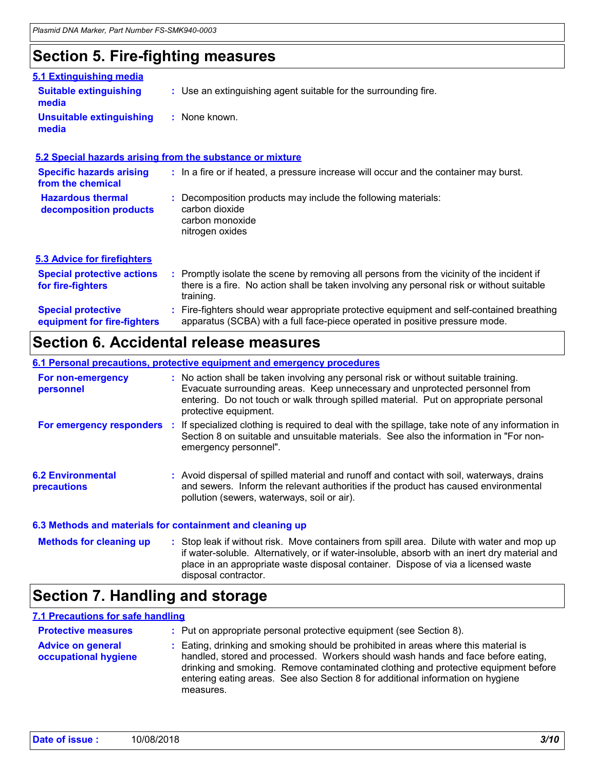## **Section 5. Fire-fighting measures**

|                                                          | ັ                                                                                                                                                                                                   |
|----------------------------------------------------------|-----------------------------------------------------------------------------------------------------------------------------------------------------------------------------------------------------|
| 5.1 Extinguishing media                                  |                                                                                                                                                                                                     |
| <b>Suitable extinguishing</b><br>media                   | : Use an extinguishing agent suitable for the surrounding fire.                                                                                                                                     |
| <b>Unsuitable extinguishing</b><br>media                 | : None known.                                                                                                                                                                                       |
|                                                          | 5.2 Special hazards arising from the substance or mixture                                                                                                                                           |
| <b>Specific hazards arising</b><br>from the chemical     | : In a fire or if heated, a pressure increase will occur and the container may burst.                                                                                                               |
| <b>Hazardous thermal</b><br>decomposition products       | Decomposition products may include the following materials:<br>carbon dioxide<br>carbon monoxide<br>nitrogen oxides                                                                                 |
| <b>5.3 Advice for firefighters</b>                       |                                                                                                                                                                                                     |
| <b>Special protective actions</b><br>for fire-fighters   | : Promptly isolate the scene by removing all persons from the vicinity of the incident if<br>there is a fire. No action shall be taken involving any personal risk or without suitable<br>training. |
| <b>Special protective</b><br>equipment for fire-fighters | : Fire-fighters should wear appropriate protective equipment and self-contained breathing<br>apparatus (SCBA) with a full face-piece operated in positive pressure mode.                            |

### **Section 6. Accidental release measures**

#### **6.1 Personal precautions, protective equipment and emergency procedures**

| For non-emergency<br>personnel                            |    | : No action shall be taken involving any personal risk or without suitable training.<br>Evacuate surrounding areas. Keep unnecessary and unprotected personnel from<br>entering. Do not touch or walk through spilled material. Put on appropriate personal<br>protective equipment. |  |
|-----------------------------------------------------------|----|--------------------------------------------------------------------------------------------------------------------------------------------------------------------------------------------------------------------------------------------------------------------------------------|--|
| For emergency responders                                  | п. | If specialized clothing is required to deal with the spillage, take note of any information in<br>Section 8 on suitable and unsuitable materials. See also the information in "For non-<br>emergency personnel".                                                                     |  |
| <b>6.2 Environmental</b><br><b>precautions</b>            |    | : Avoid dispersal of spilled material and runoff and contact with soil, waterways, drains<br>and sewers. Inform the relevant authorities if the product has caused environmental<br>pollution (sewers, waterways, soil or air).                                                      |  |
| 6.3 Methods and materials for containment and cleaning up |    |                                                                                                                                                                                                                                                                                      |  |

: Stop leak if without risk. Move containers from spill area. Dilute with water and mop up if water-soluble. Alternatively, or if water-insoluble, absorb with an inert dry material and place in an appropriate waste disposal container. Dispose of via a licensed waste disposal contractor. **Methods for cleaning up :**

### **Section 7. Handling and storage**

### **7.1 Precautions for safe handling**

| <b>Protective measures</b>                       | : Put on appropriate personal protective equipment (see Section 8).                                                                                                                                                                                                                                                                                           |
|--------------------------------------------------|---------------------------------------------------------------------------------------------------------------------------------------------------------------------------------------------------------------------------------------------------------------------------------------------------------------------------------------------------------------|
| <b>Advice on general</b><br>occupational hygiene | : Eating, drinking and smoking should be prohibited in areas where this material is<br>handled, stored and processed. Workers should wash hands and face before eating,<br>drinking and smoking. Remove contaminated clothing and protective equipment before<br>entering eating areas. See also Section 8 for additional information on hygiene<br>measures. |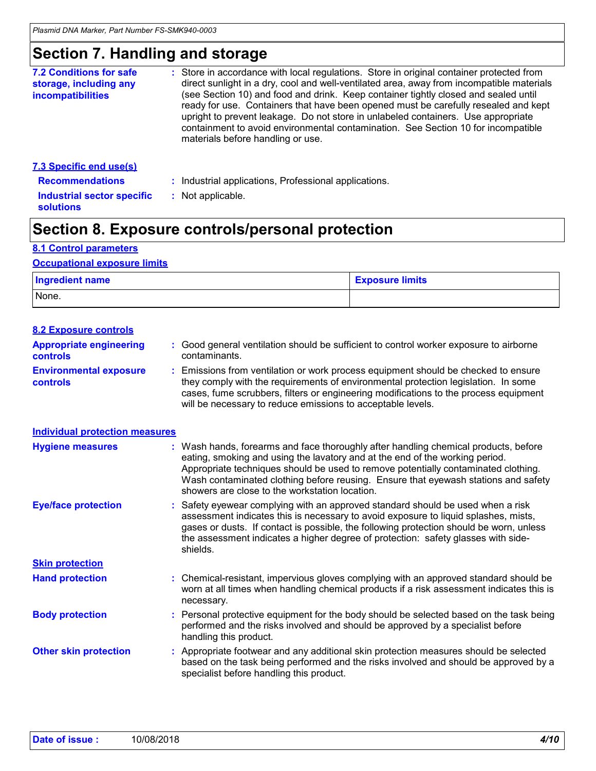## **Section 7. Handling and storage**

| <b>7.2 Conditions for safe</b><br>storage, including any<br>incompatibilities | : Store in accordance with local regulations. Store in original container protected from<br>direct sunlight in a dry, cool and well-ventilated area, away from incompatible materials<br>(see Section 10) and food and drink. Keep container tightly closed and sealed until<br>ready for use. Containers that have been opened must be carefully resealed and kept<br>upright to prevent leakage. Do not store in unlabeled containers. Use appropriate<br>containment to avoid environmental contamination. See Section 10 for incompatible<br>materials before handling or use. |
|-------------------------------------------------------------------------------|------------------------------------------------------------------------------------------------------------------------------------------------------------------------------------------------------------------------------------------------------------------------------------------------------------------------------------------------------------------------------------------------------------------------------------------------------------------------------------------------------------------------------------------------------------------------------------|
| <b>7.3 Specific end use(s)</b><br><b>Recommendations</b>                      | Industrial applications, Professional applications.                                                                                                                                                                                                                                                                                                                                                                                                                                                                                                                                |

**Industrial sector specific : Not applicable.** 

# **Section 8. Exposure controls/personal protection**

### **8.1 Control parameters**

**solutions**

#### **Occupational exposure limits**

| Ingredient name | <b>Exposure limits</b> |
|-----------------|------------------------|
| None.           |                        |

| <b>8.2 Exposure controls</b>               |    |                                                                                                                                                                                                                                                                                                                                                                                                   |
|--------------------------------------------|----|---------------------------------------------------------------------------------------------------------------------------------------------------------------------------------------------------------------------------------------------------------------------------------------------------------------------------------------------------------------------------------------------------|
| <b>Appropriate engineering</b><br>controls |    | : Good general ventilation should be sufficient to control worker exposure to airborne<br>contaminants.                                                                                                                                                                                                                                                                                           |
| <b>Environmental exposure</b><br>controls  |    | Emissions from ventilation or work process equipment should be checked to ensure<br>they comply with the requirements of environmental protection legislation. In some<br>cases, fume scrubbers, filters or engineering modifications to the process equipment<br>will be necessary to reduce emissions to acceptable levels.                                                                     |
| <b>Individual protection measures</b>      |    |                                                                                                                                                                                                                                                                                                                                                                                                   |
| <b>Hygiene measures</b>                    |    | : Wash hands, forearms and face thoroughly after handling chemical products, before<br>eating, smoking and using the lavatory and at the end of the working period.<br>Appropriate techniques should be used to remove potentially contaminated clothing.<br>Wash contaminated clothing before reusing. Ensure that eyewash stations and safety<br>showers are close to the workstation location. |
| <b>Eye/face protection</b>                 |    | Safety eyewear complying with an approved standard should be used when a risk<br>assessment indicates this is necessary to avoid exposure to liquid splashes, mists,<br>gases or dusts. If contact is possible, the following protection should be worn, unless<br>the assessment indicates a higher degree of protection: safety glasses with side-<br>shields.                                  |
| <b>Skin protection</b>                     |    |                                                                                                                                                                                                                                                                                                                                                                                                   |
| <b>Hand protection</b>                     | ÷. | Chemical-resistant, impervious gloves complying with an approved standard should be<br>worn at all times when handling chemical products if a risk assessment indicates this is<br>necessary.                                                                                                                                                                                                     |
| <b>Body protection</b>                     |    | Personal protective equipment for the body should be selected based on the task being<br>performed and the risks involved and should be approved by a specialist before<br>handling this product.                                                                                                                                                                                                 |
| <b>Other skin protection</b>               |    | Appropriate footwear and any additional skin protection measures should be selected<br>based on the task being performed and the risks involved and should be approved by a<br>specialist before handling this product.                                                                                                                                                                           |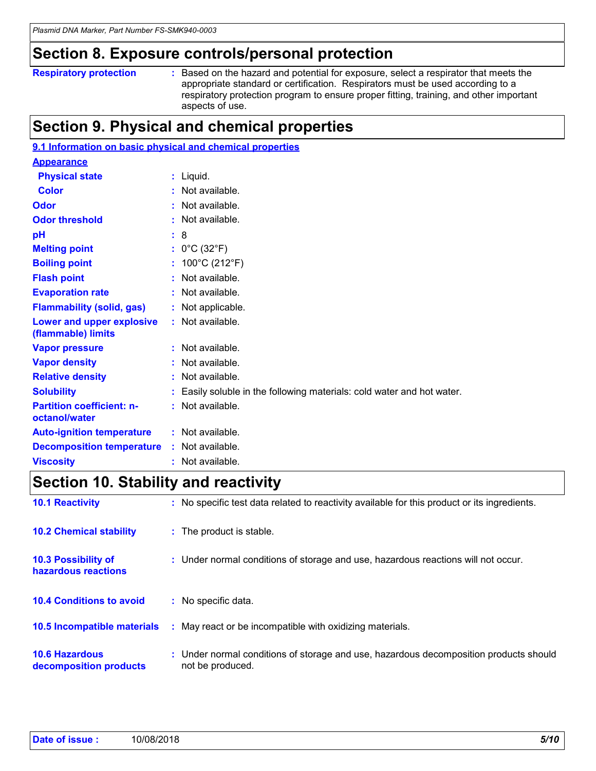### **Section 8. Exposure controls/personal protection**

```
Respiratory protection :
```
Based on the hazard and potential for exposure, select a respirator that meets the appropriate standard or certification. Respirators must be used according to a respiratory protection program to ensure proper fitting, training, and other important aspects of use.

# **Section 9. Physical and chemical properties**

| 9.1 Information on basic physical and chemical properties |  |                                                                        |  |
|-----------------------------------------------------------|--|------------------------------------------------------------------------|--|
| <b>Appearance</b>                                         |  |                                                                        |  |
| <b>Physical state</b>                                     |  | : Liquid.                                                              |  |
| <b>Color</b>                                              |  | : Not available.                                                       |  |
| <b>Odor</b>                                               |  | : Not available.                                                       |  |
| <b>Odor threshold</b>                                     |  | : Not available.                                                       |  |
| pH                                                        |  | : 8                                                                    |  |
| <b>Melting point</b>                                      |  | : $0^{\circ}$ C (32 $^{\circ}$ F)                                      |  |
| <b>Boiling point</b>                                      |  | : $100^{\circ}$ C (212 $^{\circ}$ F)                                   |  |
| <b>Flash point</b>                                        |  | : Not available.                                                       |  |
| <b>Evaporation rate</b>                                   |  | : Not available.                                                       |  |
| <b>Flammability (solid, gas)</b>                          |  | : Not applicable.                                                      |  |
| Lower and upper explosive<br>(flammable) limits           |  | : Not available.                                                       |  |
| <b>Vapor pressure</b>                                     |  | : Not available.                                                       |  |
| <b>Vapor density</b>                                      |  | : Not available.                                                       |  |
| <b>Relative density</b>                                   |  | : Not available.                                                       |  |
| <b>Solubility</b>                                         |  | : Easily soluble in the following materials: cold water and hot water. |  |
| <b>Partition coefficient: n-</b><br>octanol/water         |  | : Not available.                                                       |  |
| <b>Auto-ignition temperature</b>                          |  | : Not available.                                                       |  |
| <b>Decomposition temperature</b>                          |  | : Not available.                                                       |  |
| <b>Viscosity</b>                                          |  | Not available.                                                         |  |

# **Section 10. Stability and reactivity**

| <b>10.1 Reactivity</b>                            | : No specific test data related to reactivity available for this product or its ingredients.              |
|---------------------------------------------------|-----------------------------------------------------------------------------------------------------------|
| <b>10.2 Chemical stability</b>                    | : The product is stable.                                                                                  |
| <b>10.3 Possibility of</b><br>hazardous reactions | : Under normal conditions of storage and use, hazardous reactions will not occur.                         |
| <b>10.4 Conditions to avoid</b>                   | : No specific data.                                                                                       |
| <b>10.5 Incompatible materials</b>                | : May react or be incompatible with oxidizing materials.                                                  |
| <b>10.6 Hazardous</b><br>decomposition products   | : Under normal conditions of storage and use, hazardous decomposition products should<br>not be produced. |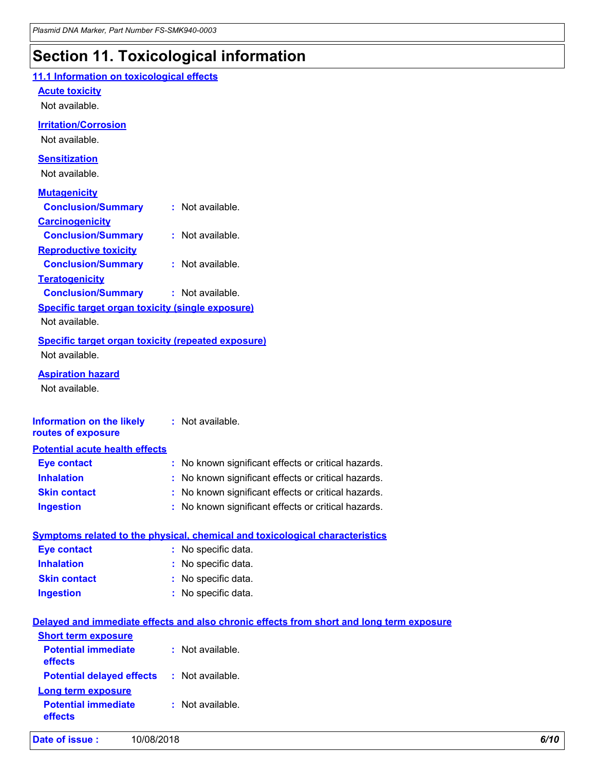# **Section 11. Toxicological information**

| 11.1 Information on toxicological effects                 |                                                                                          |
|-----------------------------------------------------------|------------------------------------------------------------------------------------------|
| <b>Acute toxicity</b>                                     |                                                                                          |
| Not available.                                            |                                                                                          |
|                                                           |                                                                                          |
| <b>Irritation/Corrosion</b>                               |                                                                                          |
| Not available.                                            |                                                                                          |
| <b>Sensitization</b>                                      |                                                                                          |
| Not available.                                            |                                                                                          |
| <b>Mutagenicity</b>                                       |                                                                                          |
| <b>Conclusion/Summary</b>                                 | : Not available.                                                                         |
| <b>Carcinogenicity</b>                                    |                                                                                          |
| <b>Conclusion/Summary</b>                                 | : Not available.                                                                         |
| <b>Reproductive toxicity</b>                              |                                                                                          |
| <b>Conclusion/Summary</b>                                 | : Not available.                                                                         |
| <b>Teratogenicity</b>                                     |                                                                                          |
| <b>Conclusion/Summary</b>                                 | : Not available.                                                                         |
| <b>Specific target organ toxicity (single exposure)</b>   |                                                                                          |
| Not available.                                            |                                                                                          |
| <b>Specific target organ toxicity (repeated exposure)</b> |                                                                                          |
| Not available.                                            |                                                                                          |
|                                                           |                                                                                          |
| <b>Aspiration hazard</b>                                  |                                                                                          |
| Not available.                                            |                                                                                          |
|                                                           |                                                                                          |
| <b>Information on the likely</b>                          | : Not available.                                                                         |
| routes of exposure                                        |                                                                                          |
| <b>Potential acute health effects</b>                     |                                                                                          |
| <b>Eye contact</b>                                        | : No known significant effects or critical hazards.                                      |
| <b>Inhalation</b>                                         | No known significant effects or critical hazards.                                        |
| <b>Skin contact</b>                                       | : No known significant effects or critical hazards.                                      |
| <b>Ingestion</b>                                          | : No known significant effects or critical hazards.                                      |
|                                                           |                                                                                          |
|                                                           | Symptoms related to the physical, chemical and toxicological characteristics             |
| <b>Eye contact</b>                                        | : No specific data.                                                                      |
| <b>Inhalation</b>                                         | : No specific data.                                                                      |
| <b>Skin contact</b>                                       | : No specific data.                                                                      |
| <b>Ingestion</b>                                          | : No specific data.                                                                      |
|                                                           |                                                                                          |
|                                                           | Delayed and immediate effects and also chronic effects from short and long term exposure |
| <b>Short term exposure</b>                                |                                                                                          |
| <b>Potential immediate</b>                                | : Not available.                                                                         |
| effects                                                   |                                                                                          |
| <b>Potential delayed effects</b>                          | : Not available.                                                                         |
| <b>Long term exposure</b>                                 |                                                                                          |

**:** Not available.

**Potential immediate**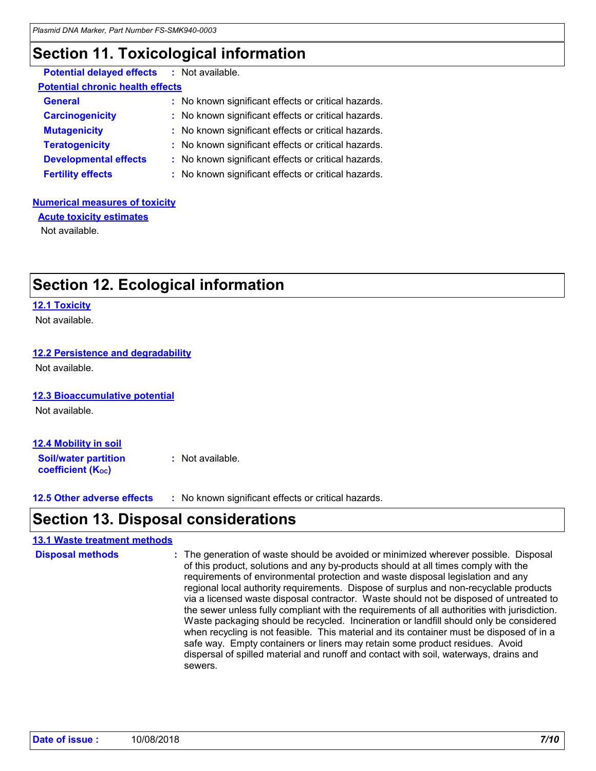## **Section 11. Toxicological information**

| <b>Potential delayed effects : Not available.</b> |                                                     |
|---------------------------------------------------|-----------------------------------------------------|
| <b>Potential chronic health effects</b>           |                                                     |
| <b>General</b>                                    | : No known significant effects or critical hazards. |
| <b>Carcinogenicity</b>                            | : No known significant effects or critical hazards. |
| <b>Mutagenicity</b>                               | : No known significant effects or critical hazards. |
| <b>Teratogenicity</b>                             | : No known significant effects or critical hazards. |
| <b>Developmental effects</b>                      | : No known significant effects or critical hazards. |
| <b>Fertility effects</b>                          | : No known significant effects or critical hazards. |

#### **Numerical measures of toxicity**

Not available. **Acute toxicity estimates**

# **Section 12. Ecological information**

#### **12.1 Toxicity**

Not available.

### **12.2 Persistence and degradability**

Not available.

#### **12.3 Bioaccumulative potential**

Not available.

| 12.4 Mobility in soil                                   |                  |
|---------------------------------------------------------|------------------|
| <b>Soil/water partition</b><br><b>coefficient (Koc)</b> | : Not available. |

**12.5 Other adverse effects :** No known significant effects or critical hazards.

### **Section 13. Disposal considerations**

#### **13.1 Waste treatment methods**

```
The generation of waste should be avoided or minimized wherever possible. Disposal 
                                  of this product, solutions and any by-products should at all times comply with the 
                                  requirements of environmental protection and waste disposal legislation and any 
                                  regional local authority requirements. Dispose of surplus and non-recyclable products 
                                  via a licensed waste disposal contractor. Waste should not be disposed of untreated to 
                                  the sewer unless fully compliant with the requirements of all authorities with jurisdiction.
                                  Waste packaging should be recycled. Incineration or landfill should only be considered 
                                  when recycling is not feasible. This material and its container must be disposed of in a 
                                  safe way. Empty containers or liners may retain some product residues. Avoid 
                                  dispersal of spilled material and runoff and contact with soil, waterways, drains and 
                                  sewers.
Disposal methods :
```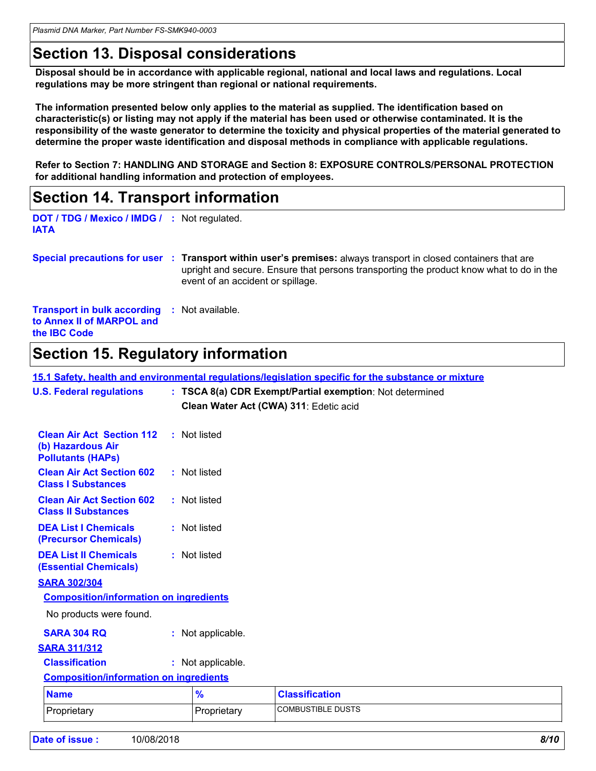*Plasmid DNA Marker, Part Number FS-SMK940-0003*

## **Section 13. Disposal considerations**

**Disposal should be in accordance with applicable regional, national and local laws and regulations. Local regulations may be more stringent than regional or national requirements.**

**The information presented below only applies to the material as supplied. The identification based on characteristic(s) or listing may not apply if the material has been used or otherwise contaminated. It is the responsibility of the waste generator to determine the toxicity and physical properties of the material generated to determine the proper waste identification and disposal methods in compliance with applicable regulations.**

**Refer to Section 7: HANDLING AND STORAGE and Section 8: EXPOSURE CONTROLS/PERSONAL PROTECTION for additional handling information and protection of employees.**

### **Section 14. Transport information**

**DOT / TDG / Mexico / IMDG / :** Not regulated. **IATA**

**Special precautions for user Transport within user's premises:** always transport in closed containers that are **:** upright and secure. Ensure that persons transporting the product know what to do in the event of an accident or spillage.

**Transport in bulk according :** Not available. **to Annex II of MARPOL and the IBC Code**

# **Section 15. Regulatory information**

**15.1 Safety, health and environmental regulations/legislation specific for the substance or mixture**

| <b>U.S. Federal regulations</b><br>: TSCA 8(a) CDR Exempt/Partial exemption: Not determined<br>Clean Water Act (CWA) 311: Edetic acid |                   |                   |                          |  |  |  |  |
|---------------------------------------------------------------------------------------------------------------------------------------|-------------------|-------------------|--------------------------|--|--|--|--|
| <b>Clean Air Act Section 112</b><br>(b) Hazardous Air<br><b>Pollutants (HAPs)</b>                                                     |                   | : Not listed      |                          |  |  |  |  |
| <b>Clean Air Act Section 602</b><br><b>Class I Substances</b>                                                                         |                   | : Not listed      |                          |  |  |  |  |
| <b>Clean Air Act Section 602</b><br><b>Class II Substances</b>                                                                        |                   | : Not listed      |                          |  |  |  |  |
| <b>DEA List I Chemicals</b><br>(Precursor Chemicals)                                                                                  |                   | : Not listed      |                          |  |  |  |  |
| <b>DEA List II Chemicals</b><br><b>(Essential Chemicals)</b>                                                                          |                   | : Not listed      |                          |  |  |  |  |
| <b>SARA 302/304</b>                                                                                                                   |                   |                   |                          |  |  |  |  |
| <b>Composition/information on ingredients</b>                                                                                         |                   |                   |                          |  |  |  |  |
| No products were found.                                                                                                               |                   |                   |                          |  |  |  |  |
| <b>SARA 304 RQ</b>                                                                                                                    | : Not applicable. |                   |                          |  |  |  |  |
| <b>SARA 311/312</b>                                                                                                                   |                   |                   |                          |  |  |  |  |
| <b>Classification</b>                                                                                                                 |                   | : Not applicable. |                          |  |  |  |  |
| <b>Composition/information on ingredients</b>                                                                                         |                   |                   |                          |  |  |  |  |
| <b>Name</b>                                                                                                                           |                   | $\frac{9}{6}$     | <b>Classification</b>    |  |  |  |  |
| Proprietary                                                                                                                           |                   | Proprietary       | <b>COMBUSTIBLE DUSTS</b> |  |  |  |  |
|                                                                                                                                       |                   |                   |                          |  |  |  |  |

| Date of issue : | 10/08/2018 | 8/10 |
|-----------------|------------|------|
|                 |            |      |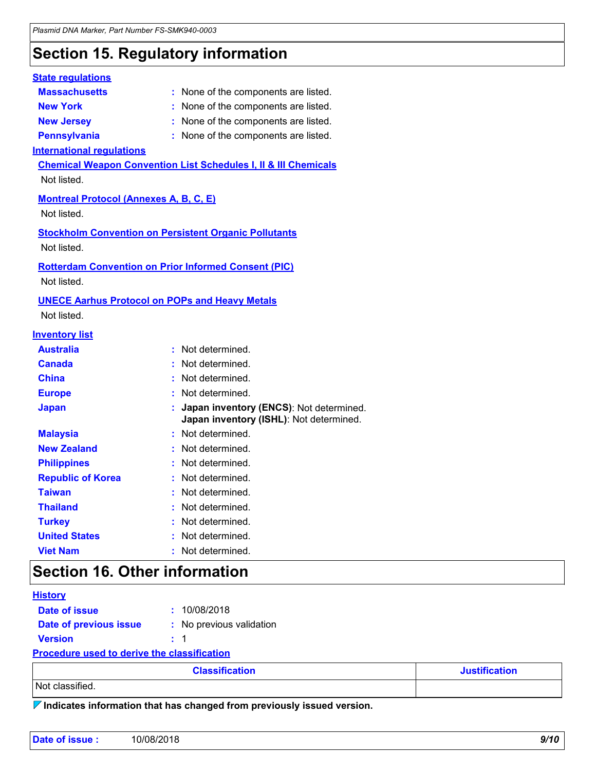# **Section 15. Regulatory information**

### **Massachusetts :** None of the components are listed. **New York :** None of the components are listed. **New Jersey :** None of the components are listed. **Pennsylvania :** None of the components are listed. **State regulations International regulations Chemical Weapon Convention List Schedules I, II & III Chemicals Montreal Protocol (Annexes A, B, C, E)** Not listed. **Stockholm Convention on Persistent Organic Pollutants** Not listed. **Rotterdam Convention on Prior Informed Consent (PIC)** Not listed. Not listed. **UNECE Aarhus Protocol on POPs and Heavy Metals** Not listed. **Inventory list Australia :** Not determined. **Canada :** Not determined. **China :** Not determined. **Europe :** Not determined. **Japan : Japan inventory (ENCS)**: Not determined. **Japan inventory (ISHL)**: Not determined. **Republic of Korea :** Not determined. **Malaysia :** Not determined. **New Zealand :** Not determined. **Philippines :** Not determined. **Taiwan :** Not determined. **Turkey :** Not determined. **United States :** Not determined. **Thailand :** Not determined. **Viet Nam :** Not determined.

### **Section 16. Other information**

| <b>History</b>                                     |         |                          |  |  |
|----------------------------------------------------|---------|--------------------------|--|--|
| Date of issue                                      |         | : 10/08/2018             |  |  |
| Date of previous issue                             |         | : No previous validation |  |  |
| <b>Version</b>                                     | $\pm$ 1 |                          |  |  |
| <b>Procedure used to derive the classification</b> |         |                          |  |  |

| <b>Classification</b> | <b>Justification</b> |
|-----------------------|----------------------|
| Not classified.       |                      |

**Indicates information that has changed from previously issued version.**

| Date of issue: | 10/08/2018 | 9/10 |
|----------------|------------|------|
|                |            |      |